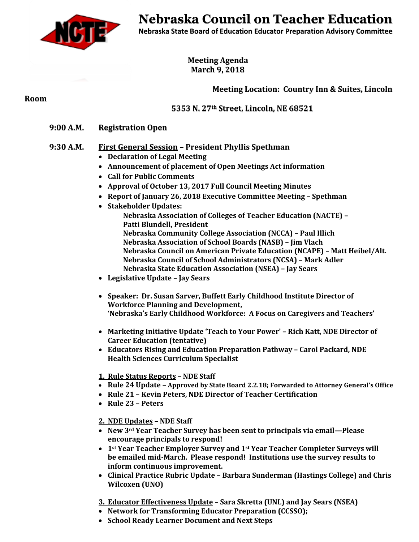

# **Nebraska Council on Teacher Education**

**Nebraska State Board of Education Educator Preparation Advisory Committee**

**Meeting Agenda March 9, 2018**

# **Meeting Location: Country Inn & Suites, Lincoln**

**Room**

 **5353 N. 27th Street, Lincoln, NE 68521**

**9:00 A.M. Registration Open**

## **9:30 A.M. First General Session – President Phyllis Spethman**

- **Declaration of Legal Meeting**
- **Announcement of placement of Open Meetings Act information**
- **Call for Public Comments**
- **Approval of October 13, 2017 Full Council Meeting Minutes**
- **Report of January 26, 2018 Executive Committee Meeting – Spethman**
- **Stakeholder Updates:** 
	- **Nebraska Association of Colleges of Teacher Education (NACTE) – Patti Blundell, President Nebraska Community College Association (NCCA) – Paul Illich Nebraska Association of School Boards (NASB) – Jim Vlach Nebraska Council on American Private Education (NCAPE) – Matt Heibel/Alt. Nebraska Council of School Administrators (NCSA) – Mark Adler Nebraska State Education Association (NSEA) – Jay Sears**
- **Legislative Update – Jay Sears**
- **Speaker: Dr. Susan Sarver, Buffett Early Childhood Institute Director of Workforce Planning and Development, 'Nebraska's Early Childhood Workforce: A Focus on Caregivers and Teachers'**
- **Marketing Initiative Update 'Teach to Your Power' – Rich Katt, NDE Director of Career Education (tentative)**
- **Educators Rising and Education Preparation Pathway – Carol Packard, NDE Health Sciences Curriculum Specialist**

#### **1. Rule Status Reports – NDE Staff**

- **Rule 24 Update – Approved by State Board 2.2.18; Forwarded to Attorney General's Office**
- **Rule 21 – Kevin Peters, NDE Director of Teacher Certification**
- **Rule 23 – Peters**

#### **2. NDE Updates – NDE Staff**

- **New 3rd Year Teacher Survey has been sent to principals via email—Please encourage principals to respond!**
- **1st Year Teacher Employer Survey and 1st Year Teacher Completer Surveys will be emailed mid-March. Please respond! Institutions use the survey results to inform continuous improvement.**
- **Clinical Practice Rubric Update – Barbara Sunderman (Hastings College) and Chris Wilcoxen (UNO)**
- **3. Educator Effectiveness Update – Sara Skretta (UNL) and Jay Sears (NSEA)**
- **Network for Transforming Educator Preparation (CCSSO);**
- **School Ready Learner Document and Next Steps**